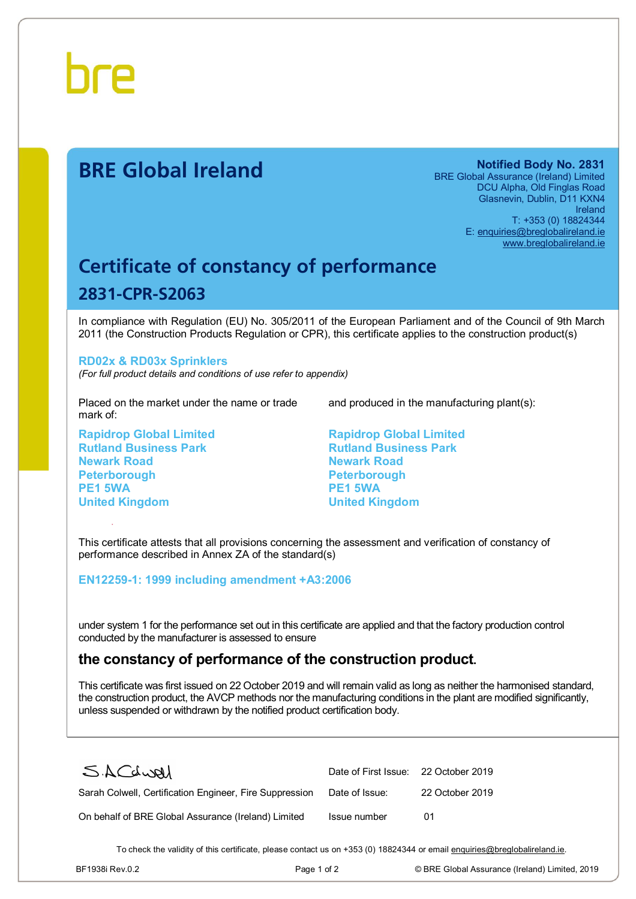

# **BRE Global Ireland Notified Body No. 2831**

BRE Global Assurance (Ireland) Limited DCU Alpha, Old Finglas Road Glasnevin, Dublin, D11 KXN4 Ireland T: +353 (0) 18824344 E: [enquiries@breglobalireland.ie](mailto:enquiries@breglobalireland.ie)  [www.breglobalireland.ie](http://www.breglobalireland.ie)

# **Certificate of constancy of performance 2831-CPR-S2063**

In compliance with Regulation (EU) No. 305/2011 of the European Parliament and of the Council of 9th March 2011 (the Construction Products Regulation or CPR), this certificate applies to the construction product(s)

#### **RD02x & RD03x Sprinklers**

*(For full product details and conditions of use refer to appendix)* 

Placed on the market under the name or trade mark of:

**Rapidrop Global Limited Rutland Business Park Newark Road Peterborough PE1 5WA United Kingdom** 

and produced in the manufacturing plant(s):

**Rapidrop Global Limited Rutland Business Park Newark Road Peterborough PE1 5WA United Kingdom** 

This certificate attests that all provisions concerning the assessment and verification of constancy of performance described in Annex ZA of the standard(s)

#### **EN12259-1: 1999 including amendment +A3:2006**

under system 1 for the performance set out in this certificate are applied and that the factory production control conducted by the manufacturer is assessed to ensure

## **the constancy of performance of the construction product.**

This certificate was first issued on 22 October 2019 and will remain valid as long as neither the harmonised standard, the construction product, the AVCP methods nor the manufacturing conditions in the plant are modified significantly, unless suspended or withdrawn by the notified product certification body.

| SACdwal                                                 | Date of First Issue: 22 October 2019 |                 |
|---------------------------------------------------------|--------------------------------------|-----------------|
| Sarah Colwell, Certification Engineer, Fire Suppression | Date of Issue:                       | 22 October 2019 |
| On behalf of BRE Global Assurance (Ireland) Limited     | Issue number                         | O1              |

To check the validity of this certificate, please contact us on +353 (0) 18824344 or email [enquiries@breglobalireland.ie](mailto:enquiries@breglobalireland.ie).